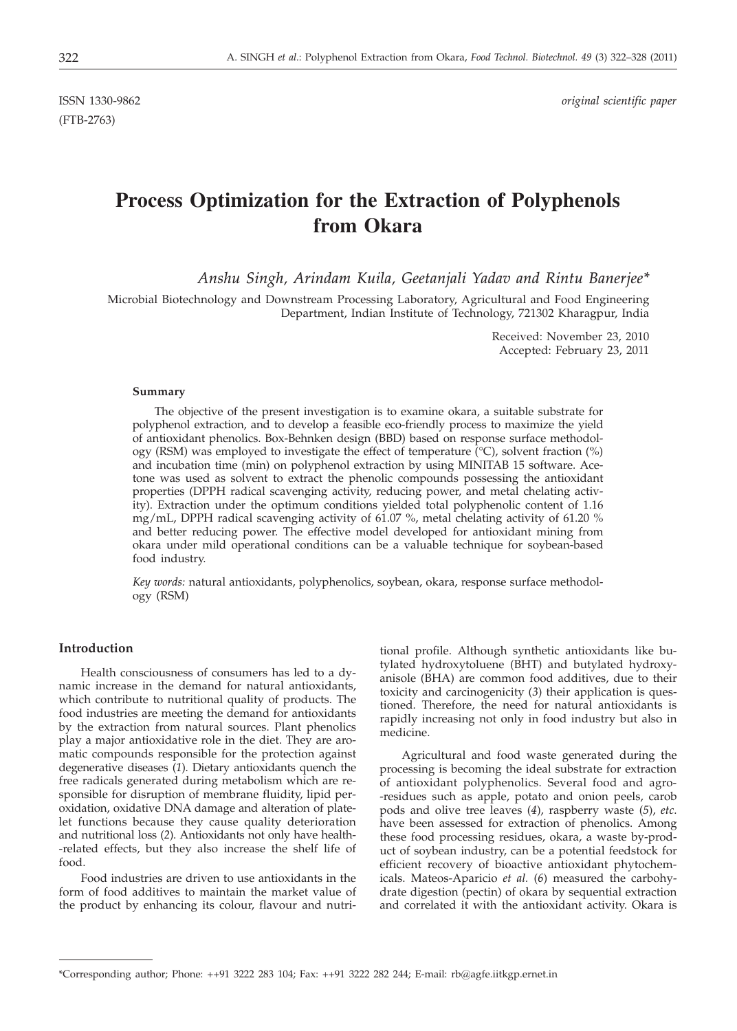(FTB-2763)

ISSN 1330-9862 *original scientific paper*

# **Process Optimization for the Extraction of Polyphenols from Okara**

*Anshu Singh, Arindam Kuila, Geetanjali Yadav and Rintu Banerjee\**

Microbial Biotechnology and Downstream Processing Laboratory, Agricultural and Food Engineering Department, Indian Institute of Technology, 721302 Kharagpur, India

> Received: November 23, 2010 Accepted: February 23, 2011

#### **Summary**

The objective of the present investigation is to examine okara, a suitable substrate for polyphenol extraction, and to develop a feasible eco-friendly process to maximize the yield of antioxidant phenolics. Box-Behnken design (BBD) based on response surface methodology (RSM) was employed to investigate the effect of temperature  $({}^{\circ}C)$ , solvent fraction  $({}^{\circ}\!\circ)$ and incubation time (min) on polyphenol extraction by using MINITAB 15 software. Acetone was used as solvent to extract the phenolic compounds possessing the antioxidant properties (DPPH radical scavenging activity, reducing power, and metal chelating activity). Extraction under the optimum conditions yielded total polyphenolic content of 1.16 mg/mL, DPPH radical scavenging activity of 61.07 %, metal chelating activity of 61.20 % and better reducing power. The effective model developed for antioxidant mining from okara under mild operational conditions can be a valuable technique for soybean-based food industry.

*Key words:* natural antioxidants, polyphenolics, soybean, okara, response surface methodology (RSM)

# **Introduction**

Health consciousness of consumers has led to a dynamic increase in the demand for natural antioxidants, which contribute to nutritional quality of products. The food industries are meeting the demand for antioxidants by the extraction from natural sources. Plant phenolics play a major antioxidative role in the diet. They are aromatic compounds responsible for the protection against degenerative diseases (*1*). Dietary antioxidants quench the free radicals generated during metabolism which are responsible for disruption of membrane fluidity, lipid peroxidation, oxidative DNA damage and alteration of platelet functions because they cause quality deterioration and nutritional loss (*2*). Antioxidants not only have health- -related effects, but they also increase the shelf life of food.

Food industries are driven to use antioxidants in the form of food additives to maintain the market value of the product by enhancing its colour, flavour and nutri-

tional profile. Although synthetic antioxidants like butylated hydroxytoluene (BHT) and butylated hydroxyanisole (BHA) are common food additives, due to their toxicity and carcinogenicity (*3*) their application is questioned. Therefore, the need for natural antioxidants is rapidly increasing not only in food industry but also in medicine.

Agricultural and food waste generated during the processing is becoming the ideal substrate for extraction of antioxidant polyphenolics. Several food and agro- -residues such as apple, potato and onion peels, carob pods and olive tree leaves (*4*), raspberry waste (*5*), *etc*. have been assessed for extraction of phenolics. Among these food processing residues, okara, a waste by-product of soybean industry, can be a potential feedstock for efficient recovery of bioactive antioxidant phytochemicals. Mateos-Aparicio *et al.* (*6*) measured the carbohydrate digestion (pectin) of okara by sequential extraction and correlated it with the antioxidant activity. Okara is

<sup>\*</sup>Corresponding author; Phone: ++91 3222 283 104; Fax: ++91 3222 282 244; E-mail: rb@agfe.iitkgp.ernet.in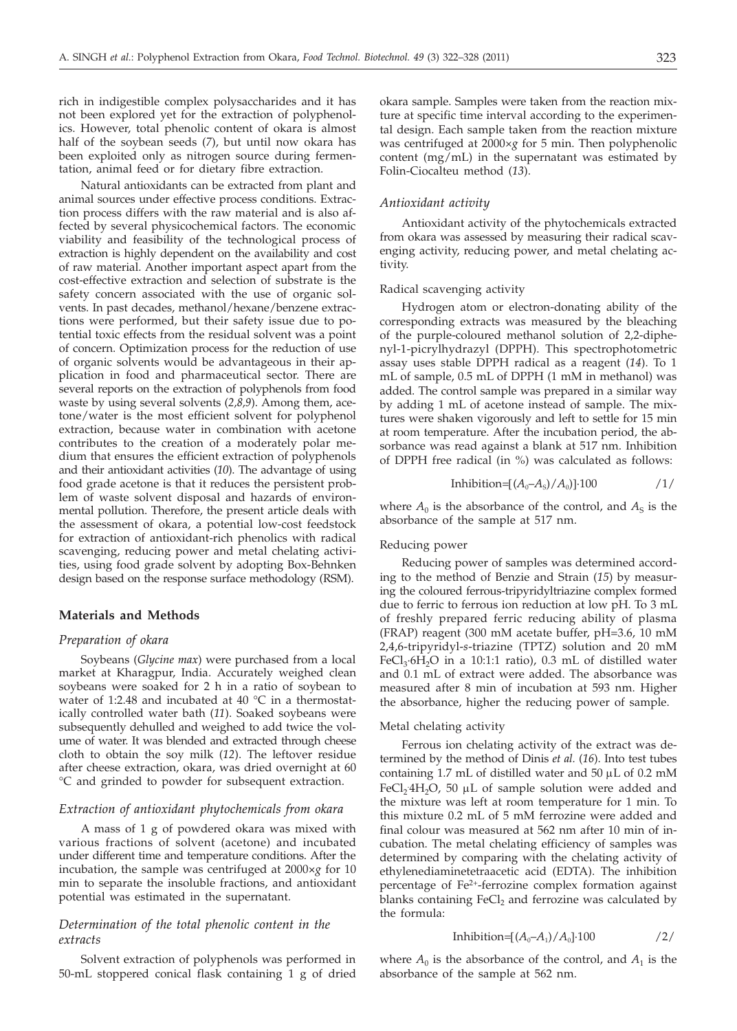rich in indigestible complex polysaccharides and it has not been explored yet for the extraction of polyphenolics. However, total phenolic content of okara is almost half of the soybean seeds (*7*), but until now okara has been exploited only as nitrogen source during fermentation, animal feed or for dietary fibre extraction.

Natural antioxidants can be extracted from plant and animal sources under effective process conditions. Extraction process differs with the raw material and is also affected by several physicochemical factors. The economic viability and feasibility of the technological process of extraction is highly dependent on the availability and cost of raw material. Another important aspect apart from the cost-effective extraction and selection of substrate is the safety concern associated with the use of organic solvents. In past decades, methanol/hexane/benzene extractions were performed, but their safety issue due to potential toxic effects from the residual solvent was a point of concern. Optimization process for the reduction of use of organic solvents would be advantageous in their application in food and pharmaceutical sector. There are several reports on the extraction of polyphenols from food waste by using several solvents (*2,8,9*). Among them, acetone/water is the most efficient solvent for polyphenol extraction, because water in combination with acetone contributes to the creation of a moderately polar medium that ensures the efficient extraction of polyphenols and their antioxidant activities (*10*). The advantage of using food grade acetone is that it reduces the persistent problem of waste solvent disposal and hazards of environmental pollution. Therefore, the present article deals with the assessment of okara, a potential low-cost feedstock for extraction of antioxidant-rich phenolics with radical scavenging, reducing power and metal chelating activities, using food grade solvent by adopting Box-Behnken design based on the response surface methodology (RSM).

# **Materials and Methods**

### *Preparation of okara*

Soybeans (*Glycine max*) were purchased from a local market at Kharagpur, India. Accurately weighed clean soybeans were soaked for 2 h in a ratio of soybean to water of 1:2.48 and incubated at 40 °C in a thermostatically controlled water bath (*11*). Soaked soybeans were subsequently dehulled and weighed to add twice the volume of water. It was blended and extracted through cheese cloth to obtain the soy milk (*12*). The leftover residue after cheese extraction, okara, was dried overnight at 60 °C and grinded to powder for subsequent extraction.

### *Extraction of antioxidant phytochemicals from okara*

A mass of 1 g of powdered okara was mixed with various fractions of solvent (acetone) and incubated under different time and temperature conditions. After the incubation, the sample was centrifuged at 2000*×g* for 10 min to separate the insoluble fractions, and antioxidant potential was estimated in the supernatant.

# *Determination of the total phenolic content in the extracts*

Solvent extraction of polyphenols was performed in 50-mL stoppered conical flask containing 1 g of dried okara sample. Samples were taken from the reaction mixture at specific time interval according to the experimental design. Each sample taken from the reaction mixture was centrifuged at 2000×*g* for 5 min. Then polyphenolic content (mg/mL) in the supernatant was estimated by Folin-Ciocalteu method (*13*).

# *Antioxidant activity*

Antioxidant activity of the phytochemicals extracted from okara was assessed by measuring their radical scavenging activity, reducing power, and metal chelating activity.

# Radical scavenging activity

Hydrogen atom or electron-donating ability of the corresponding extracts was measured by the bleaching of the purple-coloured methanol solution of 2,2-diphenyl-1-picrylhydrazyl (DPPH). This spectrophotometric assay uses stable DPPH radical as a reagent (*14*). To 1 mL of sample, 0.5 mL of DPPH (1 mM in methanol) was added. The control sample was prepared in a similar way by adding 1 mL of acetone instead of sample. The mixtures were shaken vigorously and left to settle for 15 min at room temperature. After the incubation period, the absorbance was read against a blank at 517 nm. Inhibition of DPPH free radical (in %) was calculated as follows:

$$
Inhibition=[(A_0-A_s)/A_0] \cdot 100 \qquad \qquad /1/
$$

where  $A_0$  is the absorbance of the control, and  $A_S$  is the absorbance of the sample at 517 nm.

## Reducing power

Reducing power of samples was determined according to the method of Benzie and Strain (*15*) by measuring the coloured ferrous-tripyridyltriazine complex formed due to ferric to ferrous ion reduction at low pH. To 3 mL of freshly prepared ferric reducing ability of plasma (FRAP) reagent (300 mM acetate buffer, pH=3.6, 10 mM 2,4,6-tripyridyl-*s*-triazine (TPTZ) solution and 20 mM FeCl<sub>3</sub>·6H<sub>2</sub>O in a 10:1:1 ratio), 0.3 mL of distilled water and 0.1 mL of extract were added. The absorbance was measured after 8 min of incubation at 593 nm. Higher the absorbance, higher the reducing power of sample.

#### Metal chelating activity

Ferrous ion chelating activity of the extract was determined by the method of Dinis *et al.* (*16*). Into test tubes containing  $1.7$  mL of distilled water and  $50 \mu L$  of  $0.2 \text{ mM}$ FeCl<sub>2</sub> 4H<sub>2</sub>O, 50 µL of sample solution were added and the mixture was left at room temperature for 1 min. To the mixture was left at room temperature for 1 min. To this mixture 0.2 mL of 5 mM ferrozine were added and final colour was measured at 562 nm after 10 min of incubation. The metal chelating efficiency of samples was determined by comparing with the chelating activity of ethylenediaminetetraacetic acid (EDTA). The inhibition percentage of  $Fe<sup>2+</sup>$ -ferrozine complex formation against blanks containing  $FeCl<sub>2</sub>$  and ferrozine was calculated by the formula:

$$
Inhibition=[(A_0-A_1)/A_0] \cdot 100 \qquad \qquad /2/
$$

where  $A_0$  is the absorbance of the control, and  $A_1$  is the absorbance of the sample at 562 nm.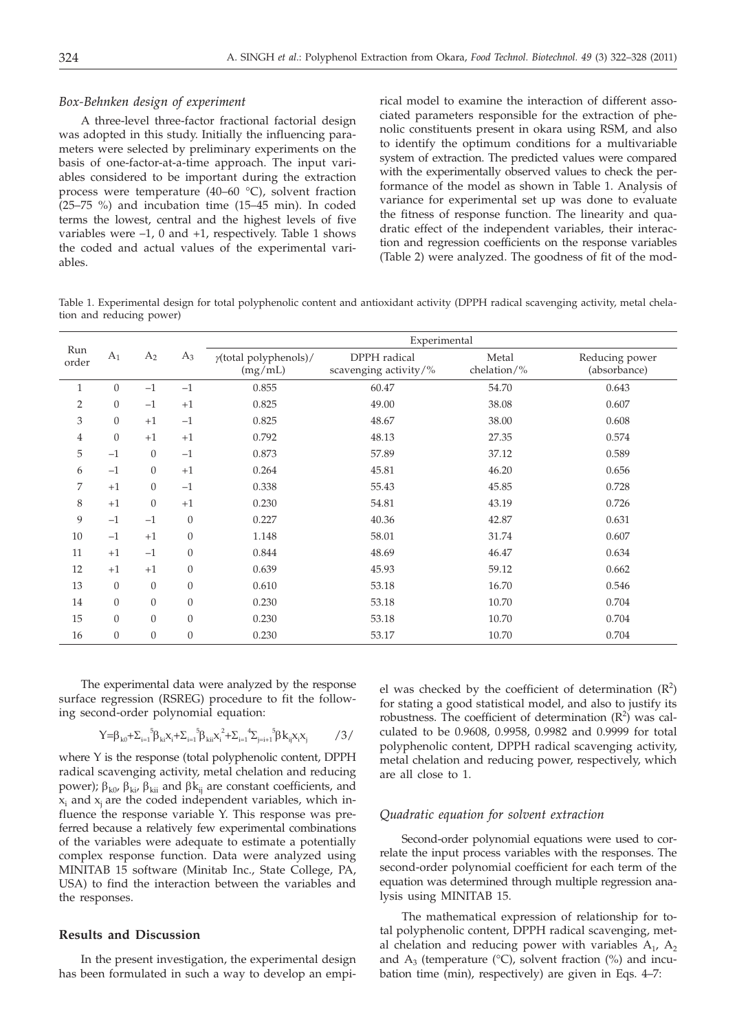### *Box-Behnken design of experiment*

A three-level three-factor fractional factorial design was adopted in this study. Initially the influencing parameters were selected by preliminary experiments on the basis of one-factor-at-a-time approach. The input variables considered to be important during the extraction process were temperature (40–60 °C), solvent fraction (25–75 %) and incubation time (15–45 min). In coded terms the lowest, central and the highest levels of five variables were –1, 0 and +1, respectively. Table 1 shows the coded and actual values of the experimental variables.

rical model to examine the interaction of different associated parameters responsible for the extraction of phenolic constituents present in okara using RSM, and also to identify the optimum conditions for a multivariable system of extraction. The predicted values were compared with the experimentally observed values to check the performance of the model as shown in Table 1. Analysis of variance for experimental set up was done to evaluate the fitness of response function. The linearity and quadratic effect of the independent variables, their interaction and regression coefficients on the response variables (Table 2) were analyzed. The goodness of fit of the mod-

Table 1. Experimental design for total polyphenolic content and antioxidant activity (DPPH radical scavenging activity, metal chelation and reducing power)

| Run<br>order   | A <sub>1</sub>   | A <sub>2</sub> | $A_3$            | Experimental                     |                                       |                          |                                |  |
|----------------|------------------|----------------|------------------|----------------------------------|---------------------------------------|--------------------------|--------------------------------|--|
|                |                  |                |                  | y(total polyphenols)/<br>(mg/mL) | DPPH radical<br>scavenging activity/% | Metal<br>chelation/ $\%$ | Reducing power<br>(absorbance) |  |
| $\mathbf{1}$   | $\overline{0}$   | $-1$           | $-1$             | 0.855                            | 60.47                                 | 54.70                    | 0.643                          |  |
| $\overline{2}$ | $\overline{0}$   | $-1$           | $+1$             | 0.825                            | 49.00                                 | 38.08                    | 0.607                          |  |
| 3              | $\overline{0}$   | $+1$           | $-1$             | 0.825                            | 48.67                                 | 38.00                    | 0.608                          |  |
| 4              | $\mathbf{0}$     | $+1$           | $+1$             | 0.792                            | 48.13                                 | 27.35                    | 0.574                          |  |
| 5              | $-1$             | $\mathbf{0}$   | $-1$             | 0.873                            | 57.89                                 | 37.12                    | 0.589                          |  |
| 6              | $-1$             | $\mathbf{0}$   | $+1$             | 0.264                            | 45.81                                 | 46.20                    | 0.656                          |  |
| 7              | $+1$             | $\mathbf{0}$   | $-1$             | 0.338                            | 55.43                                 | 45.85                    | 0.728                          |  |
| 8              | $+1$             | $\overline{0}$ | $+1$             | 0.230                            | 54.81                                 | 43.19                    | 0.726                          |  |
| 9              | $-1$             | $-1$           | $\theta$         | 0.227                            | 40.36                                 | 42.87                    | 0.631                          |  |
| 10             | $-1$             | $+1$           | $\overline{0}$   | 1.148                            | 58.01                                 | 31.74                    | 0.607                          |  |
| 11             | $+1$             | $-1$           | $\overline{0}$   | 0.844                            | 48.69                                 | 46.47                    | 0.634                          |  |
| 12             | $+1$             | $+1$           | $\boldsymbol{0}$ | 0.639                            | 45.93                                 | 59.12                    | 0.662                          |  |
| 13             | $\mathbf{0}$     | $\overline{0}$ | $\overline{0}$   | 0.610                            | 53.18                                 | 16.70                    | 0.546                          |  |
| 14             | $\mathbf{0}$     | $\overline{0}$ | $\theta$         | 0.230                            | 53.18                                 | 10.70                    | 0.704                          |  |
| 15             | $\boldsymbol{0}$ | $\overline{0}$ | $\theta$         | 0.230                            | 53.18                                 | 10.70                    | 0.704                          |  |
| 16             | $\mathbf{0}$     | $\overline{0}$ | $\boldsymbol{0}$ | 0.230                            | 53.17                                 | 10.70                    | 0.704                          |  |

The experimental data were analyzed by the response surface regression (RSREG) procedure to fit the following second-order polynomial equation:

$$
Y = \beta_{k0} + \sum_{i=1}^{5} \beta_{ki} x_i + \sum_{i=1}^{5} \beta_{ki} x_i^2 + \sum_{i=1}^{4} \sum_{j=i+1}^{5} \beta_{kj} x_i x_j \hspace{1cm} /3/
$$

where Y is the response (total polyphenolic content, DPPH radical scavenging activity, metal chelation and reducing power);  $\beta_{k0}$ ,  $\beta_{ki}$ ,  $\beta_{kii}$  and  $\beta k_{ij}$  are constant coefficients, and  $x_i$  and  $x_i$  are the coded independent variables, which influence the response variable Y. This response was preferred because a relatively few experimental combinations of the variables were adequate to estimate a potentially complex response function. Data were analyzed using MINITAB 15 software (Minitab Inc., State College, PA, USA) to find the interaction between the variables and the responses.

# **Results and Discussion**

In the present investigation, the experimental design has been formulated in such a way to develop an empi-

el was checked by the coefficient of determination  $(R^2)$ for stating a good statistical model, and also to justify its robustness. The coefficient of determination  $(R^2)$  was calculated to be 0.9608, 0.9958, 0.9982 and 0.9999 for total polyphenolic content, DPPH radical scavenging activity, metal chelation and reducing power, respectively, which are all close to 1.

#### *Quadratic equation for solvent extraction*

Second-order polynomial equations were used to correlate the input process variables with the responses. The second-order polynomial coefficient for each term of the equation was determined through multiple regression analysis using MINITAB 15.

The mathematical expression of relationship for total polyphenolic content, DPPH radical scavenging, metal chelation and reducing power with variables  $A_1$ ,  $A_2$ and  $A_3$  (temperature (°C), solvent fraction (%) and incubation time (min), respectively) are given in Eqs. 4–7: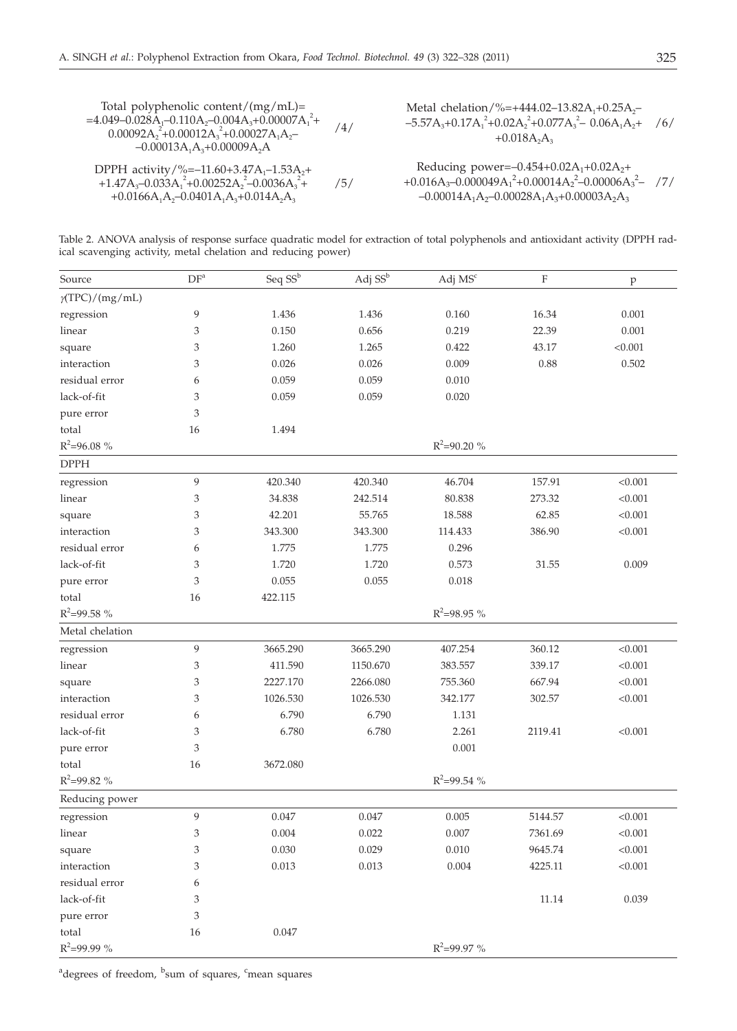+0.0166A<sub>1</sub>A<sub>2</sub>-0.0401A<sub>1</sub>A<sub>3</sub>+0.014A<sub>2</sub>A<sub>3</sub>

Total polyphenolic content/(mg/mL)= =4.049–0.028A1–0.110A2–0.004A3+0.00007A1 2 <sup>+</sup> /4/ 0.00092A2 2 +0.00012A3 2 +0.00027A1A2– –0.00013A1A3+0.00009A2A DPPH activity/%=–11.60+3.47A1–1.53A2+ +1.47A3–0.033A1 +0.00252A2 –0.0036A3 2 2 2 + /5/ Metal chelation/%=+444.02–13.82A1+0.25A2– –5.57A3+0.17A1 +0.02A2 2 +0.077A3 – 0.06A1A2+ /6/ +0.018A2A3 Reducing power=–0.454+0.02A1+0.02A2+ +0.016A3–0.000049A1 2 +0.00014A2 2 –0.00006A3 2 – /7/ –0.00014A1A2–0.00028A1A3+0.00003A2A3

Table 2. ANOVA analysis of response surface quadratic model for extraction of total polyphenols and antioxidant activity (DPPH radical scavenging activity, metal chelation and reducing power)

| Source                | DF <sup>a</sup> | Seq SS <sup>b</sup> | Adj SS <sup>b</sup> | Adj MS <sup>c</sup> | $\rm F$ | $\rm p$ |
|-----------------------|-----------------|---------------------|---------------------|---------------------|---------|---------|
| $\gamma(TPC)/(mg/mL)$ |                 |                     |                     |                     |         |         |
| regression            | 9               | 1.436               | 1.436               | 0.160               | 16.34   | 0.001   |
| linear                | 3               | 0.150               | 0.656               | 0.219               | 22.39   | 0.001   |
| square                | 3               | 1.260               | 1.265               | 0.422               | 43.17   | < 0.001 |
| interaction           | 3               | 0.026               | 0.026               | 0.009               | 0.88    | 0.502   |
| residual error        | 6               | 0.059               | 0.059               | 0.010               |         |         |
| lack-of-fit           | 3               | 0.059               | 0.059               | 0.020               |         |         |
| pure error            | 3               |                     |                     |                     |         |         |
| total                 | 16              | 1.494               |                     |                     |         |         |
| $R^2 = 96.08 \%$      |                 |                     |                     | $R^2 = 90.20 \%$    |         |         |
| <b>DPPH</b>           |                 |                     |                     |                     |         |         |
| regression            | 9               | 420.340             | 420.340             | 46.704              | 157.91  | < 0.001 |
| linear                | 3               | 34.838              | 242.514             | 80.838              | 273.32  | < 0.001 |
| square                | 3               | 42.201              | 55.765              | 18.588              | 62.85   | < 0.001 |
| interaction           | 3               | 343.300             | 343.300             | 114.433             | 386.90  | < 0.001 |
| residual error        | 6               | 1.775               | 1.775               | 0.296               |         |         |
| lack-of-fit           | 3               | 1.720               | 1.720               | 0.573               | 31.55   | 0.009   |
| pure error            | 3               | 0.055               | 0.055               | 0.018               |         |         |
| total                 | 16              | 422.115             |                     |                     |         |         |
| $R^2 = 99.58 \%$      |                 |                     |                     | $R^2 = 98.95 \%$    |         |         |
| Metal chelation       |                 |                     |                     |                     |         |         |
| regression            | 9               | 3665.290            | 3665.290            | 407.254             | 360.12  | < 0.001 |
| linear                | 3               | 411.590             | 1150.670            | 383.557             | 339.17  | < 0.001 |
| square                | 3               | 2227.170            | 2266.080            | 755.360             | 667.94  | < 0.001 |
| interaction           | 3               | 1026.530            | 1026.530            | 342.177             | 302.57  | < 0.001 |
| residual error        | 6               | 6.790               | 6.790               | 1.131               |         |         |
| lack-of-fit           | 3               | 6.780               | 6.780               | 2.261               | 2119.41 | < 0.001 |
| pure error            | 3               |                     |                     | 0.001               |         |         |
| total                 | 16              | 3672.080            |                     |                     |         |         |
| $R^2 = 99.82 \%$      |                 |                     |                     | $R^2 = 99.54 \%$    |         |         |
| Reducing power        |                 |                     |                     |                     |         |         |
| regression            | 9               | 0.047               | 0.047               | 0.005               | 5144.57 | < 0.001 |
| linear                | 3               | 0.004               | 0.022               | 0.007               | 7361.69 | < 0.001 |
| square                | 3               | $0.030\,$           | 0.029               | $0.010\,$           | 9645.74 | < 0.001 |
| interaction           | 3               | 0.013               | 0.013               | 0.004               | 4225.11 | < 0.001 |
| residual error        | 6               |                     |                     |                     |         |         |
| lack-of-fit           | 3               |                     |                     |                     | 11.14   | 0.039   |
| pure error            | 3               |                     |                     |                     |         |         |
| total                 | 16              | 0.047               |                     |                     |         |         |
| $R^2 = 99.99 \%$      |                 |                     |                     | $R^2 = 99.97 \%$    |         |         |

<sup>a</sup>degrees of freedom, <sup>b</sup>sum of squares, <sup>c</sup>mean squares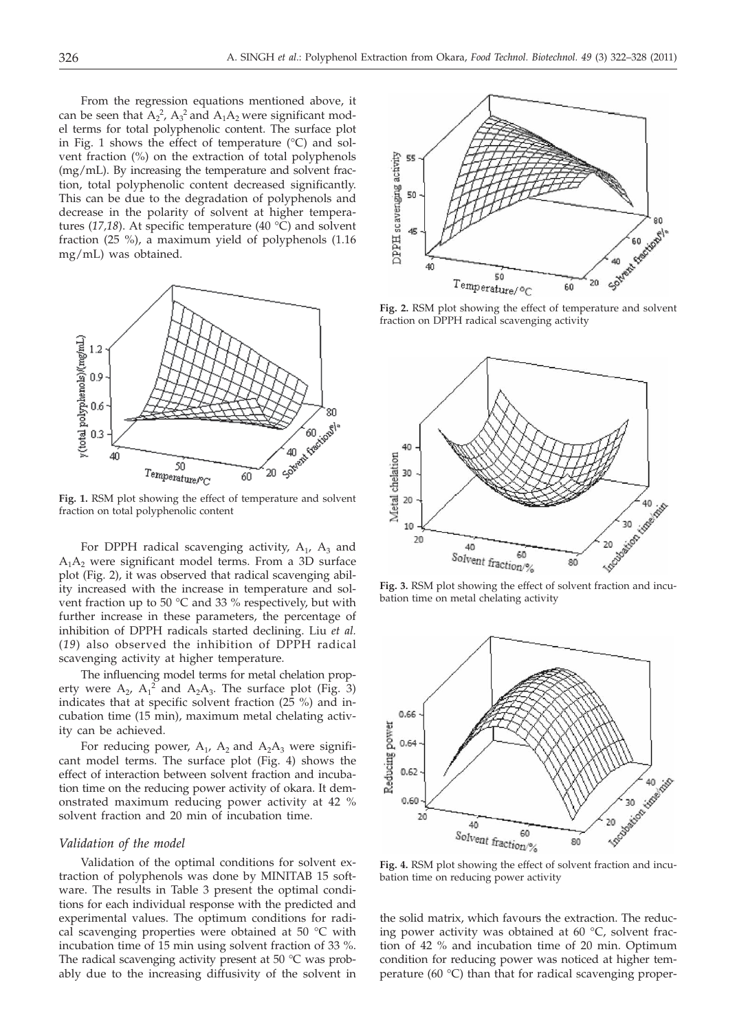From the regression equations mentioned above, it can be seen that  $A_2^2$ ,  $A_3^2$  and  $A_1A_2$  were significant model terms for total polyphenolic content. The surface plot in Fig. 1 shows the effect of temperature  $(^\circ C)$  and solvent fraction (%) on the extraction of total polyphenols (mg/mL). By increasing the temperature and solvent fraction, total polyphenolic content decreased significantly. This can be due to the degradation of polyphenols and decrease in the polarity of solvent at higher temperatures (*17,18*). At specific temperature (40 °C) and solvent fraction (25 %), a maximum yield of polyphenols (1.16 mg/mL) was obtained.



**Fig. 1.** RSM plot showing the effect of temperature and solvent fraction on total polyphenolic content

For DPPH radical scavenging activity,  $A_1$ ,  $A_3$  and  $A_1A_2$  were significant model terms. From a 3D surface plot (Fig. 2), it was observed that radical scavenging ability increased with the increase in temperature and solvent fraction up to 50 °C and 33 % respectively, but with further increase in these parameters, the percentage of inhibition of DPPH radicals started declining. Liu *et al.* (*19*) also observed the inhibition of DPPH radical scavenging activity at higher temperature.

The influencing model terms for metal chelation property were  $A_2$ ,  $A_1^2$  and  $A_2A_3$ . The surface plot (Fig. 3) indicates that at specific solvent fraction (25 %) and incubation time (15 min), maximum metal chelating activity can be achieved.

For reducing power,  $A_1$ ,  $A_2$  and  $A_2A_3$  were significant model terms. The surface plot (Fig. 4) shows the effect of interaction between solvent fraction and incubation time on the reducing power activity of okara. It demonstrated maximum reducing power activity at 42 % solvent fraction and 20 min of incubation time.

#### *Validation of the model*

Validation of the optimal conditions for solvent extraction of polyphenols was done by MINITAB 15 software. The results in Table 3 present the optimal conditions for each individual response with the predicted and experimental values. The optimum conditions for radical scavenging properties were obtained at 50 °C with incubation time of 15 min using solvent fraction of 33 %. The radical scavenging activity present at 50 °C was probably due to the increasing diffusivity of the solvent in



**Fig. 2.** RSM plot showing the effect of temperature and solvent fraction on DPPH radical scavenging activity



bation time on metal chelating activity



**Fig. 4.** RSM plot showing the effect of solvent fraction and incubation time on reducing power activity

the solid matrix, which favours the extraction. The reducing power activity was obtained at 60 °C, solvent fraction of 42 % and incubation time of 20 min. Optimum condition for reducing power was noticed at higher temperature (60 °C) than that for radical scavenging proper-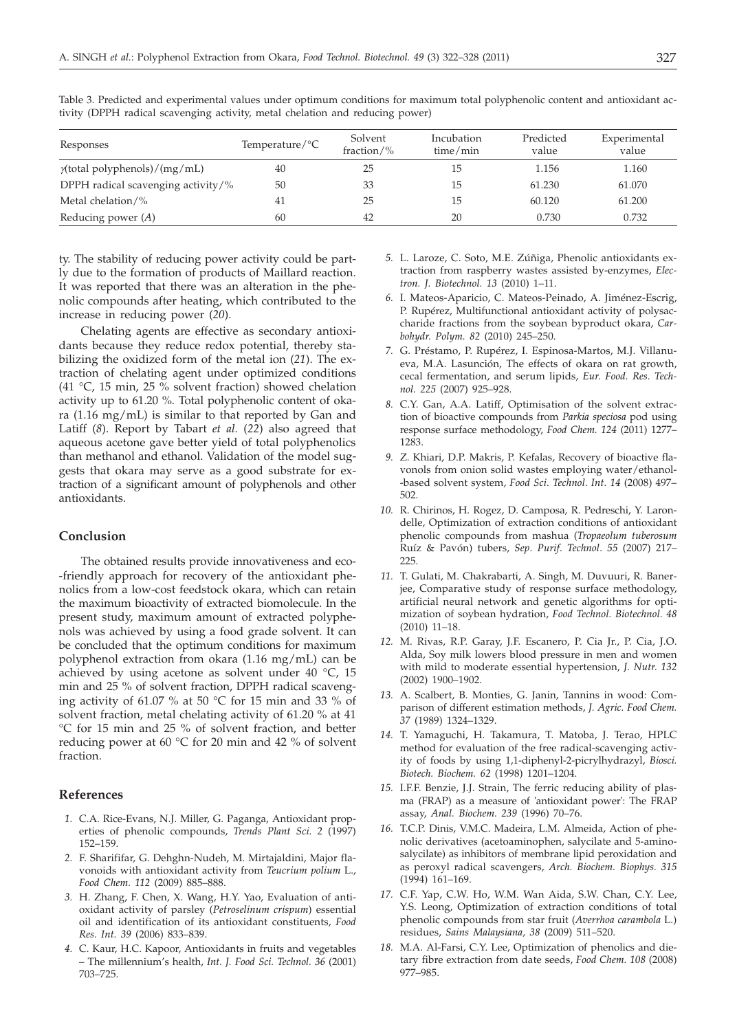| Responses                            | Temperature/ $\rm{^{\circ}C}$ | Solvent<br>fraction/ $\%$ | Incubation<br>time/min | Predicted<br>value | Experimental<br>value |
|--------------------------------------|-------------------------------|---------------------------|------------------------|--------------------|-----------------------|
| $\gamma$ (total polyphenols)/(mg/mL) | 40                            | 25                        | 15                     | 1.156              | 1.160                 |
| DPPH radical scavenging activity/%   | 50                            | 33                        | 15                     | 61.230             | 61.070                |
| Metal chelation/%                    | 41                            | 25                        | 15                     | 60.120             | 61.200                |
| Reducing power $(A)$                 | 60                            | 42                        | 20                     | 0.730              | 0.732                 |

Table 3. Predicted and experimental values under optimum conditions for maximum total polyphenolic content and antioxidant activity (DPPH radical scavenging activity, metal chelation and reducing power)

ty. The stability of reducing power activity could be partly due to the formation of products of Maillard reaction. It was reported that there was an alteration in the phenolic compounds after heating, which contributed to the increase in reducing power (*20*).

Chelating agents are effective as secondary antioxidants because they reduce redox potential, thereby stabilizing the oxidized form of the metal ion (*21*). The extraction of chelating agent under optimized conditions (41 °C, 15 min, 25 % solvent fraction) showed chelation activity up to 61.20 %. Total polyphenolic content of okara (1.16 mg/mL) is similar to that reported by Gan and Latiff (*8*). Report by Tabart *et al.* (*22*) also agreed that aqueous acetone gave better yield of total polyphenolics than methanol and ethanol. Validation of the model suggests that okara may serve as a good substrate for extraction of a significant amount of polyphenols and other antioxidants.

## **Conclusion**

The obtained results provide innovativeness and eco- -friendly approach for recovery of the antioxidant phenolics from a low-cost feedstock okara, which can retain the maximum bioactivity of extracted biomolecule. In the present study, maximum amount of extracted polyphenols was achieved by using a food grade solvent. It can be concluded that the optimum conditions for maximum polyphenol extraction from okara (1.16 mg/mL) can be achieved by using acetone as solvent under 40  $^{\circ}$ C, 15 min and 25 % of solvent fraction, DPPH radical scavenging activity of 61.07 % at 50 °C for 15 min and 33 % of solvent fraction, metal chelating activity of 61.20 % at 41 °C for 15 min and 25 % of solvent fraction, and better reducing power at 60 °C for 20 min and 42 % of solvent fraction.

# **References**

- *1.* C.A. Rice-Evans, N.J. Miller, G. Paganga, Antioxidant properties of phenolic compounds, *Trends Plant Sci. 2* (1997) 152–159.
- *2.* F. Sharififar, G. Dehghn-Nudeh, M. Mirtajaldini, Major flavonoids with antioxidant activity from *Teucrium polium* L., *Food Chem. 112* (2009) 885–888.
- *3.* H. Zhang, F. Chen, X. Wang, H.Y. Yao, Evaluation of antioxidant activity of parsley (*Petroselinum crispum*) essential oil and identification of its antioxidant constituents, *Food Res. Int. 39* (2006) 833–839.
- *4.* C. Kaur, H.C. Kapoor, Antioxidants in fruits and vegetables – The millennium's health, *Int. J. Food Sci. Technol. 36* (2001) 703–725.
- *5.* L. Laroze, C. Soto, M.E. Zúñiga, Phenolic antioxidants extraction from raspberry wastes assisted by-enzymes, *Electron. J. Biotechnol. 13* (2010) 1–11.
- *6.* I. Mateos-Aparicio, C. Mateos-Peinado, A. Jiménez-Escrig, P. Rupérez, Multifunctional antioxidant activity of polysaccharide fractions from the soybean byproduct okara, *Carbohydr. Polym. 82* (2010) 245–250.
- *7.* G. Préstamo, P. Rupérez, I. Espinosa-Martos, M.J. Villanueva, M.A. Lasunción, The effects of okara on rat growth, cecal fermentation, and serum lipids, *Eur. Food. Res. Technol. 225* (2007) 925–928.
- *8.* C.Y. Gan, A.A. Latiff, Optimisation of the solvent extraction of bioactive compounds from *Parkia speciosa* pod using response surface methodology, *Food Chem. 124* (2011) 1277– 1283.
- *9.* Z. Khiari, D.P. Makris, P. Kefalas, Recovery of bioactive flavonols from onion solid wastes employing water/ethanol- -based solvent system, *Food Sci*. *Technol*. *Int*. *14* (2008) 497– 502.
- *10.* R. Chirinos, H. Rogez, D. Camposa*,* R. Pedreschi, Y. Larondelle, Optimization of extraction conditions of antioxidant phenolic compounds from mashua (*Tropaeolum tuberosum* Ruíz & Pavón) tubers, *Sep*. *Purif*. *Technol*. *55* (2007) 217– 225.
- *11.* T. Gulati, M. Chakrabarti, A. Singh, M. Duvuuri, R. Banerjee, Comparative study of response surface methodology, artificial neural network and genetic algorithms for optimization of soybean hydration, *Food Technol. Biotechnol. 48* (2010) 11–18.
- *12.* M. Rivas, R.P. Garay, J.F. Escanero, P. Cia Jr., P. Cia, J.O. Alda, Soy milk lowers blood pressure in men and women with mild to moderate essential hypertension, *J. Nutr. 132* (2002) 1900–1902.
- *13.* A. Scalbert, B. Monties, G. Janin, Tannins in wood: Comparison of different estimation methods, *J. Agric. Food Chem. 37* (1989) 1324–1329.
- *14.* T. Yamaguchi, H. Takamura, T. Matoba, J. Terao, HPLC method for evaluation of the free radical-scavenging activity of foods by using 1,1-diphenyl-2-picrylhydrazyl, *Biosci. Biotech. Biochem. 62* (1998) 1201–1204.
- *15.* I.F.F. Benzie, J.J. Strain, The ferric reducing ability of plasma (FRAP) as a measure of 'antioxidant power': The FRAP assay, *Anal. Biochem. 239* (1996) 70–76.
- *16.* T.C.P. Dinis, V.M.C. Madeira, L.M. Almeida, Action of phenolic derivatives (acetoaminophen, salycilate and 5-aminosalycilate) as inhibitors of membrane lipid peroxidation and as peroxyl radical scavengers, *Arch. Biochem. Biophys. 315* (1994) 161–169.
- *17.* C.F. Yap, C.W. Ho, W.M. Wan Aida, S.W. Chan, C.Y. Lee, Y.S. Leong, Optimization of extraction conditions of total phenolic compounds from star fruit (*Averrhoa carambola* L.) residues, *Sains Malaysiana, 38* (2009) 511–520.
- *18.* M.A. Al-Farsi, C.Y. Lee, Optimization of phenolics and dietary fibre extraction from date seeds, *Food Chem. 108* (2008) 977–985.